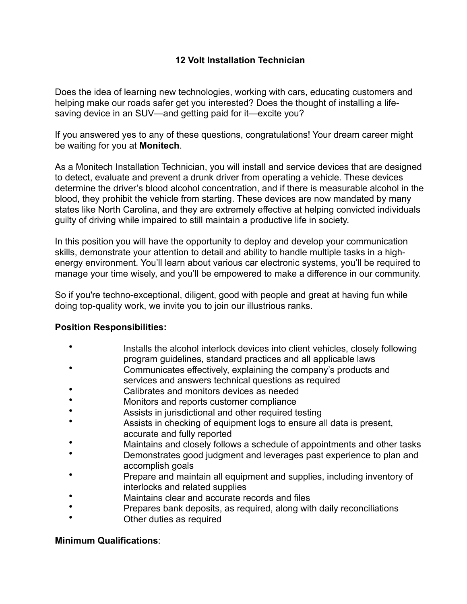# **12 Volt Installation Technician**

Does the idea of learning new technologies, working with cars, educating customers and helping make our roads safer get you interested? Does the thought of installing a lifesaving device in an SUV—and getting paid for it—excite you?

If you answered yes to any of these questions, congratulations! Your dream career might be waiting for you at **Monitech**.

As a Monitech Installation Technician, you will install and service devices that are designed to detect, evaluate and prevent a drunk driver from operating a vehicle. These devices determine the driver's blood alcohol concentration, and if there is measurable alcohol in the blood, they prohibit the vehicle from starting. These devices are now mandated by many states like North Carolina, and they are extremely effective at helping convicted individuals guilty of driving while impaired to still maintain a productive life in society.

In this position you will have the opportunity to deploy and develop your communication skills, demonstrate your attention to detail and ability to handle multiple tasks in a highenergy environment. You'll learn about various car electronic systems, you'll be required to manage your time wisely, and you'll be empowered to make a difference in our community.

So if you're techno-exceptional, diligent, good with people and great at having fun while doing top-quality work, we invite you to join our illustrious ranks.

## **Position Responsibilities:**

- Installs the alcohol interlock devices into client vehicles, closely following program guidelines, standard practices and all applicable laws
- Communicates effectively, explaining the company's products and services and answers technical questions as required
- Calibrates and monitors devices as needed
- Monitors and reports customer compliance
- Assists in jurisdictional and other required testing
- Assists in checking of equipment logs to ensure all data is present, accurate and fully reported
- Maintains and closely follows a schedule of appointments and other tasks
- Demonstrates good judgment and leverages past experience to plan and accomplish goals
- Prepare and maintain all equipment and supplies, including inventory of interlocks and related supplies
- Maintains clear and accurate records and files
- Prepares bank deposits, as required, along with daily reconciliations
- Other duties as required

## **Minimum Qualifications**: